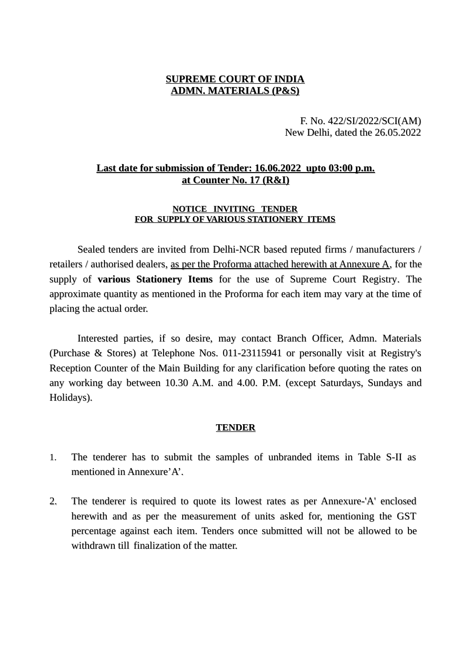### **SUPREME COURT OF INDIA ADMN. MATERIALS (P&S)**

F. No. 422/SI/2022/SCI(AM) New Delhi, dated the 26.05.2022

# **Last date for submission of Tender: 16.06.2022 upto 03:00 p.m. at Counter No. 17 (R&I)**

#### **NOTICE INVITING TENDER FOR SUPPLY OF VARIOUS STATIONERY ITEMS**

Sealed tenders are invited from Delhi-NCR based reputed firms / manufacturers / retailers / authorised dealers, as per the Proforma attached herewith at Annexure A, for the supply of **various Stationery Items** for the use of Supreme Court Registry. The approximate quantity as mentioned in the Proforma for each item may vary at the time of placing the actual order.

Interested parties, if so desire, may contact Branch Officer, Admn. Materials (Purchase & Stores) at Telephone Nos. 011-23115941 or personally visit at Registry's Reception Counter of the Main Building for any clarification before quoting the rates on any working day between 10.30 A.M. and 4.00. P.M. (except Saturdays, Sundays and Holidays).

#### **TENDER**

- 1. The tenderer has to submit the samples of unbranded items in Table S-II as mentioned in Annexure'A'.
- 2. The tenderer is required to quote its lowest rates as per Annexure-'A' enclosed herewith and as per the measurement of units asked for, mentioning the GST percentage against each item. Tenders once submitted will not be allowed to be withdrawn till finalization of the matter.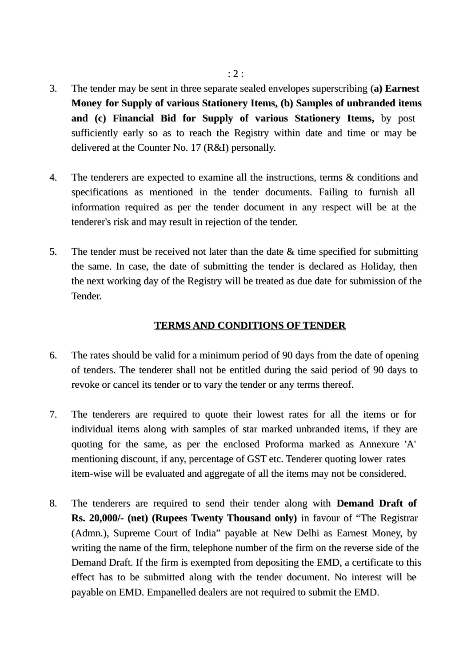- 3. The tender may be sent in three separate sealed envelopes superscribing (**a) Earnest Money for Supply of various Stationery Items, (b) Samples of unbranded items and (c) Financial Bid for Supply of various Stationery Items,** by post sufficiently early so as to reach the Registry within date and time or may be delivered at the Counter No. 17 (R&I) personally.
- 4. The tenderers are expected to examine all the instructions, terms & conditions and specifications as mentioned in the tender documents. Failing to furnish all information required as per the tender document in any respect will be at the tenderer's risk and may result in rejection of the tender.
- 5. The tender must be received not later than the date & time specified for submitting the same. In case, the date of submitting the tender is declared as Holiday, then the next working day of the Registry will be treated as due date for submission of the Tender.

#### **TERMS AND CONDITIONS OF TENDER**

- 6. The rates should be valid for a minimum period of 90 days from the date of opening of tenders. The tenderer shall not be entitled during the said period of 90 days to revoke or cancel its tender or to vary the tender or any terms thereof.
- 7. The tenderers are required to quote their lowest rates for all the items or for individual items along with samples of star marked unbranded items, if they are quoting for the same, as per the enclosed Proforma marked as Annexure 'A' mentioning discount, if any, percentage of GST etc. Tenderer quoting lower rates item-wise will be evaluated and aggregate of all the items may not be considered.
- 8. The tenderers are required to send their tender along with **Demand Draft of Rs. 20,000/- (net) (Rupees Twenty Thousand only)** in favour of "The Registrar (Admn.), Supreme Court of India" payable at New Delhi as Earnest Money, by writing the name of the firm, telephone number of the firm on the reverse side of the Demand Draft. If the firm is exempted from depositing the EMD, a certificate to this effect has to be submitted along with the tender document. No interest will be payable on EMD. Empanelled dealers are not required to submit the EMD.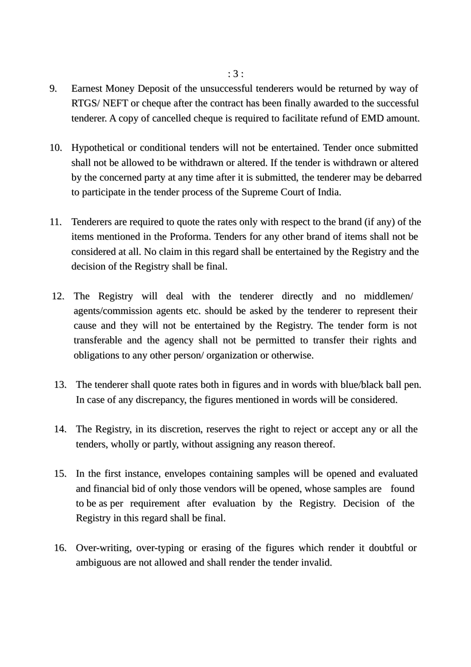- 9. Earnest Money Deposit of the unsuccessful tenderers would be returned by way of RTGS/ NEFT or cheque after the contract has been finally awarded to the successful tenderer. A copy of cancelled cheque is required to facilitate refund of EMD amount.
- 10. Hypothetical or conditional tenders will not be entertained. Tender once submitted shall not be allowed to be withdrawn or altered. If the tender is withdrawn or altered by the concerned party at any time after it is submitted, the tenderer may be debarred to participate in the tender process of the Supreme Court of India.
- 11. Tenderers are required to quote the rates only with respect to the brand (if any) of the items mentioned in the Proforma. Tenders for any other brand of items shall not be considered at all. No claim in this regard shall be entertained by the Registry and the decision of the Registry shall be final.
- 12. The Registry will deal with the tenderer directly and no middlemen/ agents/commission agents etc. should be asked by the tenderer to represent their cause and they will not be entertained by the Registry. The tender form is not transferable and the agency shall not be permitted to transfer their rights and obligations to any other person/ organization or otherwise.
- 13. The tenderer shall quote rates both in figures and in words with blue/black ball pen. In case of any discrepancy, the figures mentioned in words will be considered.
- 14. The Registry, in its discretion, reserves the right to reject or accept any or all the tenders, wholly or partly, without assigning any reason thereof.
- 15. In the first instance, envelopes containing samples will be opened and evaluated and financial bid of only those vendors will be opened, whose samples are found to be as per requirement after evaluation by the Registry. Decision of the Registry in this regard shall be final.
- 16. Over-writing, over-typing or erasing of the figures which render it doubtful or ambiguous are not allowed and shall render the tender invalid.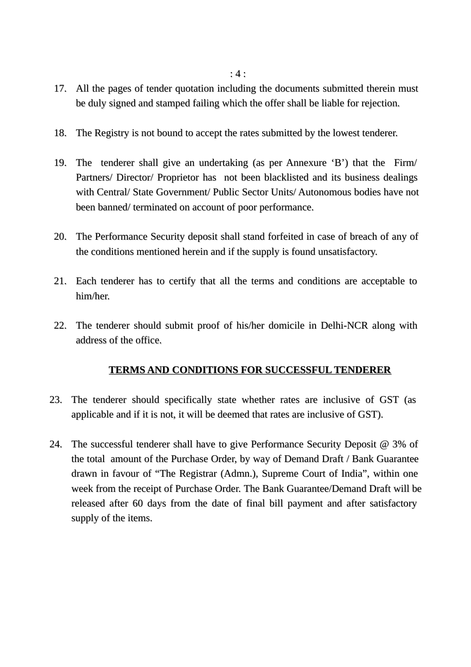: 4 :

- 17. All the pages of tender quotation including the documents submitted therein must be duly signed and stamped failing which the offer shall be liable for rejection.
- 18. The Registry is not bound to accept the rates submitted by the lowest tenderer.
- 19. The tenderer shall give an undertaking (as per Annexure 'B') that the Firm/ Partners/ Director/ Proprietor has not been blacklisted and its business dealings with Central/ State Government/ Public Sector Units/ Autonomous bodies have not been banned/ terminated on account of poor performance.
- 20. The Performance Security deposit shall stand forfeited in case of breach of any of the conditions mentioned herein and if the supply is found unsatisfactory.
- 21. Each tenderer has to certify that all the terms and conditions are acceptable to him/her.
- 22. The tenderer should submit proof of his/her domicile in Delhi-NCR along with address of the office.

# **TERMS AND CONDITIONS FOR SUCCESSFUL TENDERER**

- 23. The tenderer should specifically state whether rates are inclusive of GST (as applicable and if it is not, it will be deemed that rates are inclusive of GST).
- 24. The successful tenderer shall have to give Performance Security Deposit  $\omega$  3% of the total amount of the Purchase Order, by way of Demand Draft / Bank Guarantee drawn in favour of "The Registrar (Admn.), Supreme Court of India", within one week from the receipt of Purchase Order. The Bank Guarantee/Demand Draft will be released after 60 days from the date of final bill payment and after satisfactory supply of the items.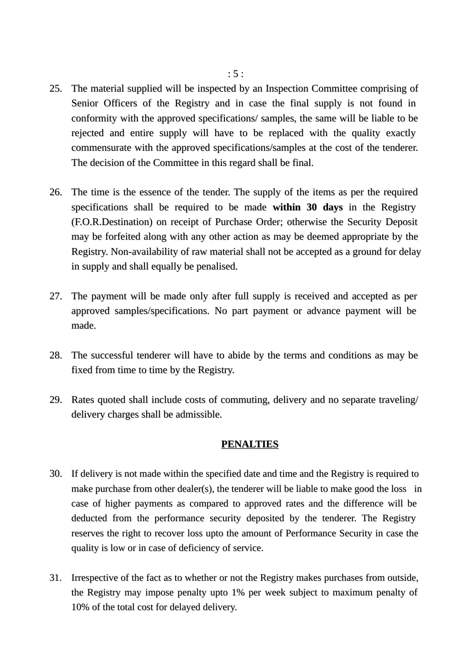- 25. The material supplied will be inspected by an Inspection Committee comprising of Senior Officers of the Registry and in case the final supply is not found in conformity with the approved specifications/ samples, the same will be liable to be rejected and entire supply will have to be replaced with the quality exactly commensurate with the approved specifications/samples at the cost of the tenderer. The decision of the Committee in this regard shall be final.
- 26. The time is the essence of the tender. The supply of the items as per the required specifications shall be required to be made **within 30 days** in the Registry (F.O.R.Destination) on receipt of Purchase Order; otherwise the Security Deposit may be forfeited along with any other action as may be deemed appropriate by the Registry. Non-availability of raw material shall not be accepted as a ground for delay in supply and shall equally be penalised.
- 27. The payment will be made only after full supply is received and accepted as per approved samples/specifications. No part payment or advance payment will be made.
- 28. The successful tenderer will have to abide by the terms and conditions as may be fixed from time to time by the Registry.
- 29. Rates quoted shall include costs of commuting, delivery and no separate traveling/ delivery charges shall be admissible.

#### **PENALTIES**

- 30. If delivery is not made within the specified date and time and the Registry is required to make purchase from other dealer(s), the tenderer will be liable to make good the loss in case of higher payments as compared to approved rates and the difference will be deducted from the performance security deposited by the tenderer. The Registry reserves the right to recover loss upto the amount of Performance Security in case the quality is low or in case of deficiency of service.
- 31. Irrespective of the fact as to whether or not the Registry makes purchases from outside, the Registry may impose penalty upto 1% per week subject to maximum penalty of 10% of the total cost for delayed delivery.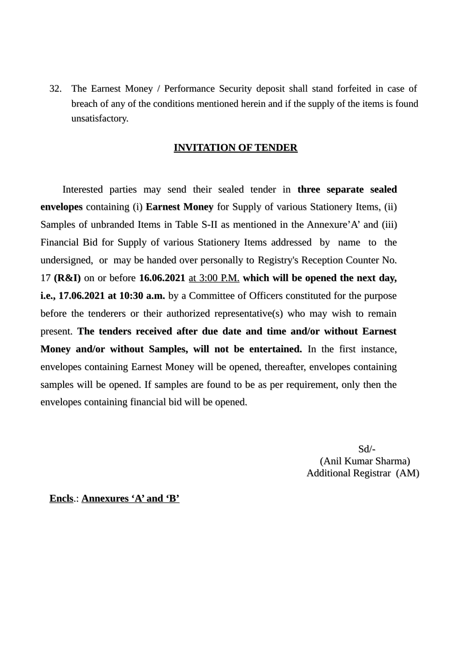32. The Earnest Money / Performance Security deposit shall stand forfeited in case of breach of any of the conditions mentioned herein and if the supply of the items is found unsatisfactory.

#### **INVITATION OF TENDER**

Interested parties may send their sealed tender in **three separate sealed envelopes** containing (i) **Earnest Money** for Supply of various Stationery Items, (ii) Samples of unbranded Items in Table S-II as mentioned in the Annexure'A' and (iii) Financial Bid for Supply of various Stationery Items addressed by name to the undersigned, or may be handed over personally to Registry's Reception Counter No. 17 **(R&I)** on or before **16.06.2021** at 3:00 P.M. **which will be opened the next day, i.e., 17.06.2021 at 10:30 a.m.** by a Committee of Officers constituted for the purpose before the tenderers or their authorized representative(s) who may wish to remain present. **The tenders received after due date and time and/or without Earnest Money and/or without Samples, will not be entertained.** In the first instance, envelopes containing Earnest Money will be opened, thereafter, envelopes containing samples will be opened. If samples are found to be as per requirement, only then the envelopes containing financial bid will be opened.

 Sd/- (Anil Kumar Sharma) Additional Registrar (AM)

**Encls**.: **Annexures 'A' and 'B'**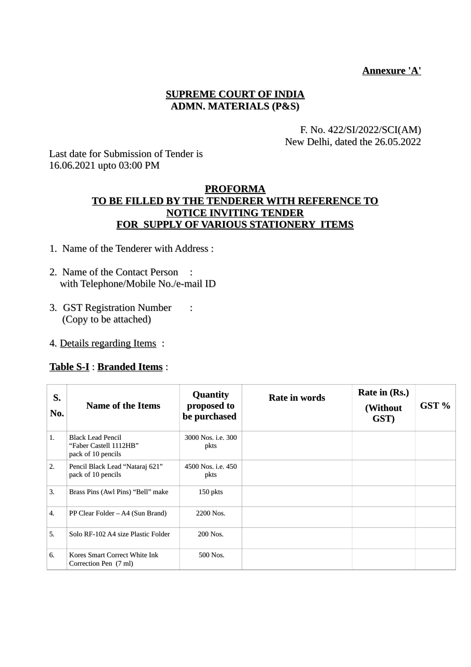### **Annexure 'A'**

### **SUPREME COURT OF INDIA ADMN. MATERIALS (P&S)**

#### F. No. 422/SI/2022/SCI(AM) New Delhi, dated the 26.05.2022

Last date for Submission of Tender is 16.06.2021 upto 03:00 PM

## **PROFORMA TO BE FILLED BY THE TENDERER WITH REFERENCE TO NOTICE INVITING TENDER FOR SUPPLY OF VARIOUS STATIONERY ITEMS**

- 1. Name of the Tenderer with Address :
- 2. Name of the Contact Person : with Telephone/Mobile No./e-mail ID
- 3. GST Registration Number : (Copy to be attached)
- 4. Details regarding Items :

#### **Table S-I** : **Branded Items** :

| S.<br>No. | <b>Name of the Items</b>                                                 | <b>Quantity</b><br>proposed to<br>be purchased | <b>Rate in words</b> | Rate in (Rs.)<br>(Without<br>GST) | GST % |
|-----------|--------------------------------------------------------------------------|------------------------------------------------|----------------------|-----------------------------------|-------|
| 1.        | <b>Black Lead Pencil</b><br>"Faber Castell 1112HB"<br>pack of 10 pencils | 3000 Nos. i.e. 300<br>pkts                     |                      |                                   |       |
| 2.        | Pencil Black Lead "Nataraj 621"<br>pack of 10 pencils                    | 4500 Nos. i.e. 450<br>pkts                     |                      |                                   |       |
| 3.        | Brass Pins (Awl Pins) "Bell" make                                        | 150 pkts                                       |                      |                                   |       |
| 4.        | PP Clear Folder – A4 (Sun Brand)                                         | 2200 Nos.                                      |                      |                                   |       |
| 5.        | Solo RF-102 A4 size Plastic Folder                                       | 200 Nos.                                       |                      |                                   |       |
| 6.        | Kores Smart Correct White Ink<br>Correction Pen (7 ml)                   | 500 Nos.                                       |                      |                                   |       |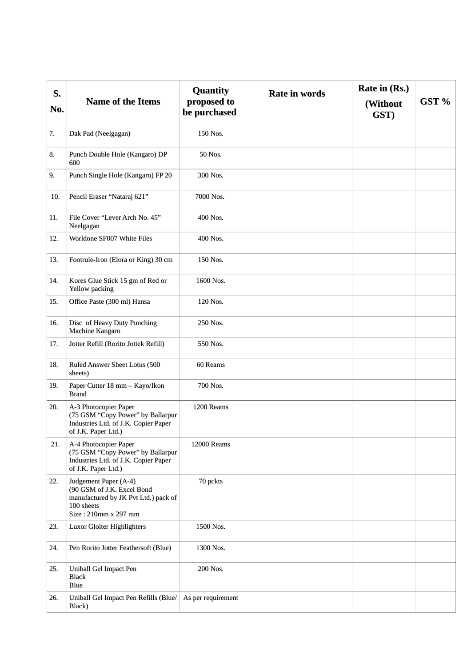| S.  |                                                                                                                                   | <b>Quantity</b><br><b>Rate in words</b> | Rate in (Rs.)    |       |
|-----|-----------------------------------------------------------------------------------------------------------------------------------|-----------------------------------------|------------------|-------|
| No. | <b>Name of the Items</b>                                                                                                          | proposed to<br>be purchased             | (Without<br>GST) | GST % |
| 7.  | Dak Pad (Neelgagan)                                                                                                               | 150 Nos.                                |                  |       |
| 8.  | Punch Double Hole (Kangaro) DP<br>600                                                                                             | 50 Nos.                                 |                  |       |
| 9.  | Punch Single Hole (Kangaro) FP 20                                                                                                 | 300 Nos.                                |                  |       |
| 10. | Pencil Eraser "Nataraj 621"                                                                                                       | 7000 Nos.                               |                  |       |
| 11, | File Cover "Lever Arch No. 45"<br>Neelgagan                                                                                       | 400 Nos.                                |                  |       |
| 12. | Worldone SF007 White Files                                                                                                        | 400 Nos.                                |                  |       |
| 13. | Footrule-Iron (Elora or King) 30 cm                                                                                               | 150 Nos.                                |                  |       |
| 14. | Kores Glue Stick 15 gm of Red or<br>Yellow packing                                                                                | 1600 Nos.                               |                  |       |
| 15. | Office Paste (300 ml) Hansa                                                                                                       | 120 Nos.                                |                  |       |
| 16. | Disc of Heavy Duty Punching<br>Machine Kangaro                                                                                    | 250 Nos.                                |                  |       |
| 17. | Jotter Refill (Rorito Jottek Refill)                                                                                              | 550 Nos.                                |                  |       |
| 18. | Ruled Answer Sheet Lotus (500<br>sheets)                                                                                          | 60 Reams                                |                  |       |
| 19. | Paper Cutter 18 mm - Kayo/Ikon<br><b>Brand</b>                                                                                    | 700 Nos.                                |                  |       |
| 20. | A-3 Photocopier Paper<br>(75 GSM "Copy Power" by Ballarpur<br>Industries Ltd. of J.K. Copier Paper<br>of J.K. Paper Ltd.)         | 1200 Reams                              |                  |       |
| 21. | A-4 Photocopier Paper<br>(75 GSM "Copy Power" by Ballarpur<br>Industries Ltd. of J.K. Copier Paper<br>of J.K. Paper Ltd.)         | 12000 Reams                             |                  |       |
| 22. | Judgement Paper (A-4)<br>(90 GSM of J.K. Excel Bond<br>manufactured by JK Pvt Ltd.) pack of<br>100 sheets<br>Size: 210mm x 297 mm | 70 pckts                                |                  |       |
| 23. | <b>Luxor Gloiter Highlighters</b>                                                                                                 | 1500 Nos.                               |                  |       |
| 24. | Pen Rorito Jotter Feathersoft (Blue)                                                                                              | 1300 Nos.                               |                  |       |
| 25. | Uniball Gel Impact Pen<br><b>Black</b><br>Blue                                                                                    | 200 Nos.                                |                  |       |
| 26. | Uniball Gel Impact Pen Refills (Blue/<br>Black)                                                                                   | As per requirement                      |                  |       |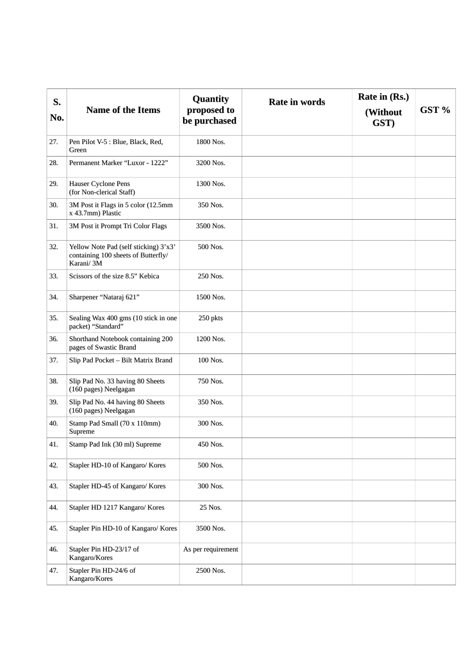| S.<br>No. | <b>Name of the Items</b>                                                                  | <b>Quantity</b><br>proposed to<br>be purchased | <b>Rate in words</b> | Rate in (Rs.)<br>(Without<br>GST) | GST % |
|-----------|-------------------------------------------------------------------------------------------|------------------------------------------------|----------------------|-----------------------------------|-------|
| 27,       | Pen Pilot V-5 : Blue, Black, Red,<br>Green                                                | 1800 Nos.                                      |                      |                                   |       |
| 28.       | Permanent Marker "Luxor - 1222"                                                           | 3200 Nos.                                      |                      |                                   |       |
| 29.       | <b>Hauser Cyclone Pens</b><br>(for Non-clerical Staff)                                    | 1300 Nos.                                      |                      |                                   |       |
| 30.       | 3M Post it Flags in 5 color (12.5mm<br>x 43.7mm) Plastic                                  | 350 Nos.                                       |                      |                                   |       |
| 31.       | 3M Post it Prompt Tri Color Flags                                                         | 3500 Nos.                                      |                      |                                   |       |
| 32.       | Yellow Note Pad (self sticking) 3'x3'<br>containing 100 sheets of Butterfly/<br>Karani/3M | 500 Nos.                                       |                      |                                   |       |
| 33.       | Scissors of the size 8.5" Kebica                                                          | 250 Nos.                                       |                      |                                   |       |
| 34.       | Sharpener "Nataraj 621"                                                                   | 1500 Nos.                                      |                      |                                   |       |
| 35.       | Sealing Wax 400 gms (10 stick in one<br>packet) "Standard"                                | 250 pkts                                       |                      |                                   |       |
| 36.       | Shorthand Notebook containing 200<br>pages of Swastic Brand                               | 1200 Nos.                                      |                      |                                   |       |
| 37.       | Slip Pad Pocket - Bilt Matrix Brand                                                       | 100 Nos.                                       |                      |                                   |       |
| 38.       | Slip Pad No. 33 having 80 Sheets<br>(160 pages) Neelgagan                                 | 750 Nos.                                       |                      |                                   |       |
| 39.       | Slip Pad No. 44 having 80 Sheets<br>(160 pages) Neelgagan                                 | 350 Nos.                                       |                      |                                   |       |
| 40.       | Stamp Pad Small (70 x 110mm)<br>Supreme                                                   | 300 Nos.                                       |                      |                                   |       |
| 41.       | Stamp Pad Ink (30 ml) Supreme                                                             | 450 Nos.                                       |                      |                                   |       |
| 42.       | Stapler HD-10 of Kangaro/ Kores                                                           | 500 Nos.                                       |                      |                                   |       |
| 43.       | Stapler HD-45 of Kangaro/ Kores                                                           | 300 Nos.                                       |                      |                                   |       |
| 44.       | Stapler HD 1217 Kangaro/ Kores                                                            | 25 Nos.                                        |                      |                                   |       |
| 45.       | Stapler Pin HD-10 of Kangaro/ Kores                                                       | 3500 Nos.                                      |                      |                                   |       |
| 46.       | Stapler Pin HD-23/17 of<br>Kangaro/Kores                                                  | As per requirement                             |                      |                                   |       |
| 47.       | Stapler Pin HD-24/6 of<br>Kangaro/Kores                                                   | 2500 Nos.                                      |                      |                                   |       |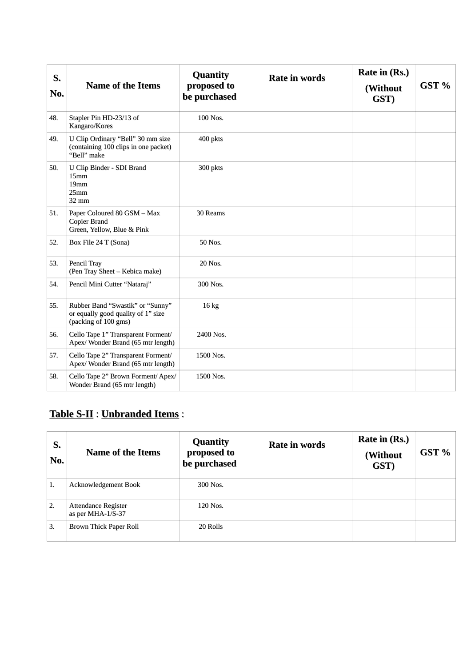| S.<br>No. | <b>Name of the Items</b>                                                                       | <b>Quantity</b><br>proposed to<br>be purchased | <b>Rate in words</b> | Rate in (Rs.)<br>(Without<br>GST) | GST % |
|-----------|------------------------------------------------------------------------------------------------|------------------------------------------------|----------------------|-----------------------------------|-------|
| 48.       | Stapler Pin HD-23/13 of<br>Kangaro/Kores                                                       | 100 Nos.                                       |                      |                                   |       |
| 49.       | U Clip Ordinary "Bell" 30 mm size<br>(containing 100 clips in one packet)<br>"Bell" make       | 400 pkts                                       |                      |                                   |       |
| 50.       | U Clip Binder - SDI Brand<br>15mm<br>19mm<br>25mm<br>32 mm                                     | 300 pkts                                       |                      |                                   |       |
| 51.       | Paper Coloured 80 GSM - Max<br><b>Copier Brand</b><br>Green, Yellow, Blue & Pink               | 30 Reams                                       |                      |                                   |       |
| 52.       | Box File 24 T (Sona)                                                                           | 50 Nos.                                        |                      |                                   |       |
| 53.       | Pencil Tray<br>(Pen Tray Sheet - Kebica make)                                                  | 20 Nos.                                        |                      |                                   |       |
| 54.       | Pencil Mini Cutter "Nataraj"                                                                   | 300 Nos.                                       |                      |                                   |       |
| 55.       | Rubber Band "Swastik" or "Sunny"<br>or equally good quality of 1" size<br>(packing of 100 gms) | 16 <sub>kg</sub>                               |                      |                                   |       |
| 56.       | Cello Tape 1" Transparent Forment/<br>Apex/ Wonder Brand (65 mtr length)                       | 2400 Nos.                                      |                      |                                   |       |
| 57.       | Cello Tape 2" Transparent Forment/<br>Apex/ Wonder Brand (65 mtr length)                       | 1500 Nos.                                      |                      |                                   |       |
| 58.       | Cello Tape 2" Brown Forment/ Apex/<br>Wonder Brand (65 mtr length)                             | 1500 Nos.                                      |                      |                                   |       |

# **Table S-II** : **Unbranded Items** :

| S.<br>No. | <b>Name of the Items</b>                 | <b>Quantity</b><br>proposed to<br>be purchased | Rate in words | Rate in (Rs.)<br>(Without<br>GST) | GST % |
|-----------|------------------------------------------|------------------------------------------------|---------------|-----------------------------------|-------|
| 1.        | <b>Acknowledgement Book</b>              | 300 Nos.                                       |               |                                   |       |
| 2.        | Attendance Register<br>as per MHA-1/S-37 | 120 Nos.                                       |               |                                   |       |
| 3.        | Brown Thick Paper Roll                   | 20 Rolls                                       |               |                                   |       |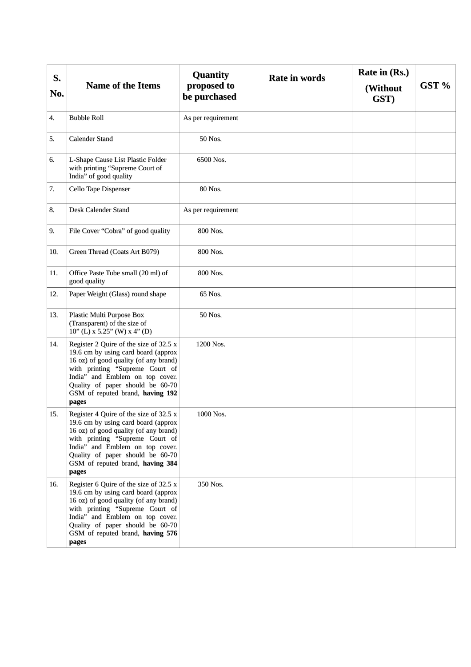| S.  |                                                                                                                                                                                                                                                                               | <b>Quantity</b>             | <b>Rate in words</b> | Rate in (Rs.)    |       |
|-----|-------------------------------------------------------------------------------------------------------------------------------------------------------------------------------------------------------------------------------------------------------------------------------|-----------------------------|----------------------|------------------|-------|
| No. | <b>Name of the Items</b>                                                                                                                                                                                                                                                      | proposed to<br>be purchased |                      | (Without<br>GST) | GST % |
| 4.  | <b>Bubble Roll</b>                                                                                                                                                                                                                                                            | As per requirement          |                      |                  |       |
| 5.  | <b>Calender Stand</b>                                                                                                                                                                                                                                                         | 50 Nos.                     |                      |                  |       |
| 6.  | L-Shape Cause List Plastic Folder<br>with printing "Supreme Court of<br>India" of good quality                                                                                                                                                                                | 6500 Nos.                   |                      |                  |       |
| 7.  | Cello Tape Dispenser                                                                                                                                                                                                                                                          | 80 Nos.                     |                      |                  |       |
| 8.  | Desk Calender Stand                                                                                                                                                                                                                                                           | As per requirement          |                      |                  |       |
| 9.  | File Cover "Cobra" of good quality                                                                                                                                                                                                                                            | 800 Nos.                    |                      |                  |       |
| 10. | Green Thread (Coats Art B079)                                                                                                                                                                                                                                                 | 800 Nos.                    |                      |                  |       |
| 11. | Office Paste Tube small (20 ml) of<br>good quality                                                                                                                                                                                                                            | 800 Nos.                    |                      |                  |       |
| 12. | Paper Weight (Glass) round shape                                                                                                                                                                                                                                              | 65 Nos.                     |                      |                  |       |
| 13. | Plastic Multi Purpose Box<br>(Transparent) of the size of<br>$10"$ (L) x 5.25" (W) x 4" (D)                                                                                                                                                                                   | 50 Nos.                     |                      |                  |       |
| 14, | Register 2 Quire of the size of 32.5 x<br>19.6 cm by using card board (approx<br>16 oz) of good quality (of any brand)<br>with printing "Supreme Court of<br>India" and Emblem on top cover.<br>Quality of paper should be 60-70<br>GSM of reputed brand, having 192<br>pages | 1200 Nos.                   |                      |                  |       |
| 15. | Register 4 Quire of the size of 32.5 x<br>19.6 cm by using card board (approx<br>16 oz) of good quality (of any brand)<br>with printing "Supreme Court of<br>India" and Emblem on top cover.<br>Quality of paper should be 60-70<br>GSM of reputed brand, having 384<br>pages | 1000 Nos.                   |                      |                  |       |
| 16. | Register 6 Quire of the size of 32.5 x<br>19.6 cm by using card board (approx<br>16 oz) of good quality (of any brand)<br>with printing "Supreme Court of<br>India" and Emblem on top cover.<br>Quality of paper should be 60-70<br>GSM of reputed brand, having 576<br>pages | 350 Nos.                    |                      |                  |       |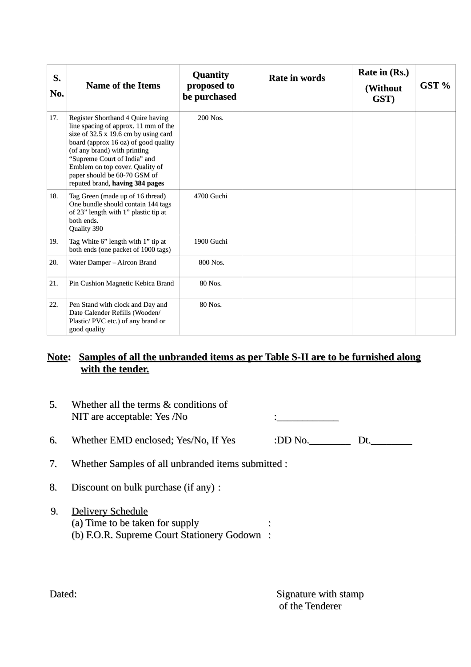| S.<br>No. | <b>Name of the Items</b>                                                                                                                                                                                                                                                                                                        | <b>Quantity</b><br>proposed to<br>be purchased | <b>Rate in words</b> | Rate in (Rs.)<br>(Without<br>GST) | GST % |
|-----------|---------------------------------------------------------------------------------------------------------------------------------------------------------------------------------------------------------------------------------------------------------------------------------------------------------------------------------|------------------------------------------------|----------------------|-----------------------------------|-------|
| 17.       | Register Shorthand 4 Quire having<br>line spacing of approx. 11 mm of the<br>size of 32.5 x 19.6 cm by using card<br>board (approx 16 oz) of good quality<br>(of any brand) with printing<br>"Supreme Court of India" and<br>Emblem on top cover. Quality of<br>paper should be 60-70 GSM of<br>reputed brand, having 384 pages | 200 Nos.                                       |                      |                                   |       |
| 18.       | Tag Green (made up of 16 thread)<br>One bundle should contain 144 tags<br>of 23" length with 1" plastic tip at<br>both ends.<br>Quality 390                                                                                                                                                                                     | 4700 Guchi                                     |                      |                                   |       |
| 19.       | Tag White 6" length with 1" tip at<br>both ends (one packet of 1000 tags)                                                                                                                                                                                                                                                       | 1900 Guchi                                     |                      |                                   |       |
| 20.       | Water Damper - Aircon Brand                                                                                                                                                                                                                                                                                                     | 800 Nos.                                       |                      |                                   |       |
| 21.       | Pin Cushion Magnetic Kebica Brand                                                                                                                                                                                                                                                                                               | 80 Nos.                                        |                      |                                   |       |
| 22.       | Pen Stand with clock and Day and<br>Date Calender Refills (Wooden/<br>Plastic/PVC etc.) of any brand or<br>good quality                                                                                                                                                                                                         | 80 Nos.                                        |                      |                                   |       |

# **Note: Samples of all the unbranded items as per Table S-II are to be furnished along with the tender.**

| 5. | Whether all the terms & conditions of<br>NIT are acceptable: Yes /No |         |
|----|----------------------------------------------------------------------|---------|
| 6. | Whether EMD enclosed; Yes/No, If Yes                                 | :DD No. |

## 7. Whether Samples of all unbranded items submitted :

- 8. Discount on bulk purchase (if any) :
- 9. Delivery Schedule (a) Time to be taken for supply : (b) F.O.R. Supreme Court Stationery Godown :